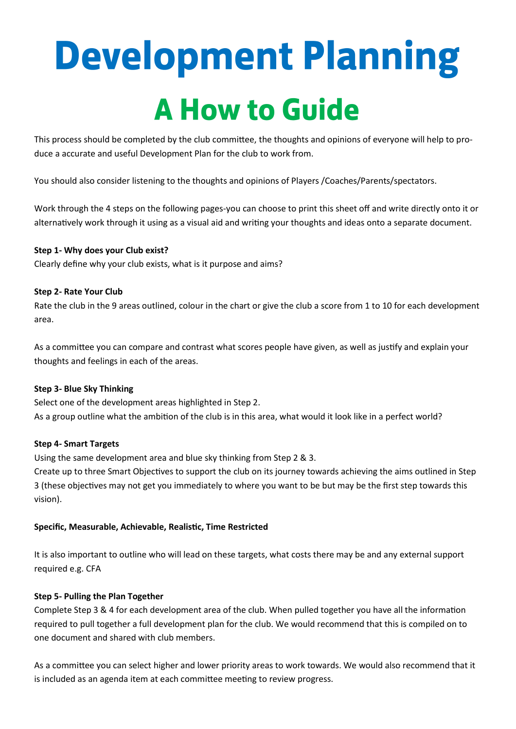# **Development Planning A How to Guide**

This process should be completed by the club committee, the thoughts and opinions of everyone will help to produce a accurate and useful Development Plan for the club to work from.

You should also consider listening to the thoughts and opinions of Players /Coaches/Parents/spectators.

Work through the 4 steps on the following pages-you can choose to print this sheet off and write directly onto it or alternatively work through it using as a visual aid and writing your thoughts and ideas onto a separate document.

#### **Step 1- Why does your Club exist?**

Clearly define why your club exists, what is it purpose and aims?

#### **Step 2- Rate Your Club**

Rate the club in the 9 areas outlined, colour in the chart or give the club a score from 1 to 10 for each development area.

As a committee you can compare and contrast what scores people have given, as well as justify and explain your thoughts and feelings in each of the areas.

#### **Step 3- Blue Sky Thinking**

Select one of the development areas highlighted in Step 2. As a group outline what the ambition of the club is in this area, what would it look like in a perfect world?

#### **Step 4- Smart Targets**

Using the same development area and blue sky thinking from Step 2 & 3.

Create up to three Smart Objectives to support the club on its journey towards achieving the aims outlined in Step 3 (these objectives may not get you immediately to where you want to be but may be the first step towards this vision).

#### **Specific, Measurable, Achievable, Realistic, Time Restricted**

It is also important to outline who will lead on these targets, what costs there may be and any external support required e.g. CFA

#### **Step 5- Pulling the Plan Together**

Complete Step 3 & 4 for each development area of the club. When pulled together you have all the information required to pull together a full development plan for the club. We would recommend that this is compiled on to one document and shared with club members.

As a committee you can select higher and lower priority areas to work towards. We would also recommend that it is included as an agenda item at each committee meeting to review progress.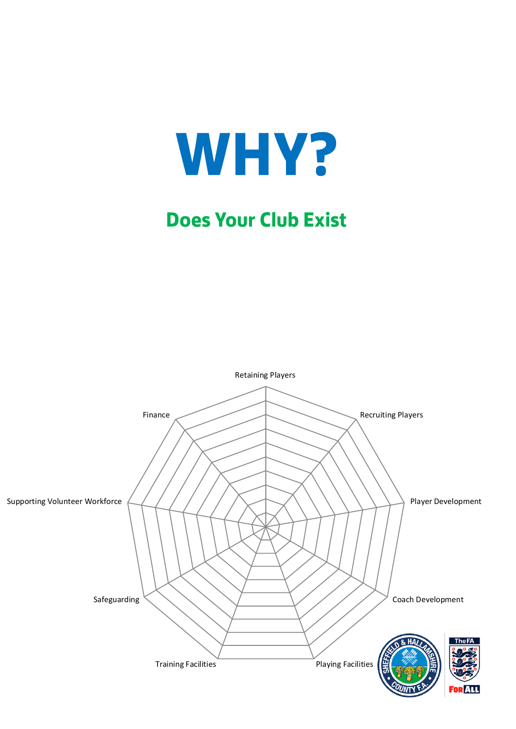

### **Does Your Club Exist**